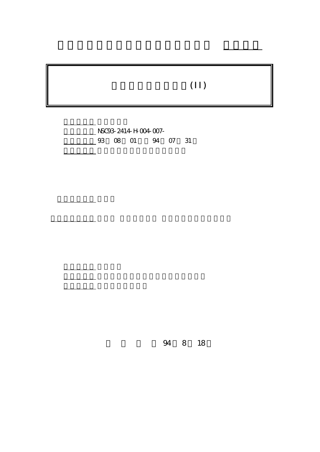# $(11)$

行政院國家科學委員會專題研究計畫 成果報告

 $\overline{\text{NSC93-2414-H 004-O07-}}$ 93 08 01 94 07 31

計畫參與人員: 鄭智元 國立政治大學 外交研究所碩士班研究生

報告附件: 出席國際會議研究心得報告及發表論文

計畫主持人: 童振源

報告類型: 精簡報告

處理方式: 本計畫可公開查詢

8 18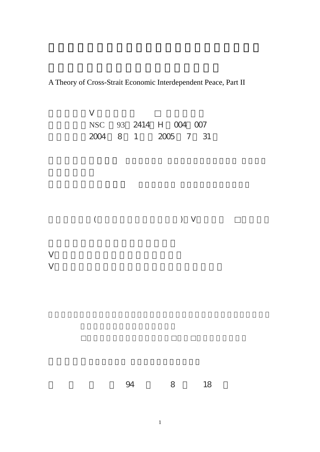A Theory of Cross-Strait Economic Interdependent Peace, Part II

| NSC 93 2414 H 004 007 |  |  |  |
|-----------------------|--|--|--|
| 2004 8 1 2005 7 31    |  |  |  |

 $($  ) V

 $V$ 

 $V$ 

18 **94** 8 18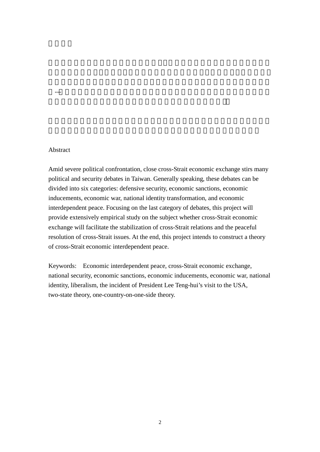#### Abstract

Amid severe political confrontation, close cross-Strait economic exchange stirs many political and security debates in Taiwan. Generally speaking, these debates can be divided into six categories: defensive security, economic sanctions, economic inducements, economic war, national identity transformation, and economic interdependent peace. Focusing on the last category of debates, this project will provide extensively empirical study on the subject whether cross-Strait economic exchange will facilitate the stabilization of cross-Strait relations and the peaceful resolution of cross-Strait issues. At the end, this project intends to construct a theory of cross-Strait economic interdependent peace.

---「到底兩岸經濟交流與互賴是否有助於兩岸關係的穩定與兩岸問題的和平解

Keywords: Economic interdependent peace, cross-Strait economic exchange, national security, economic sanctions, economic inducements, economic war, national identity, liberalism, the incident of President Lee Teng-hui's visit to the USA, two-state theory, one-country-on-one-side theory.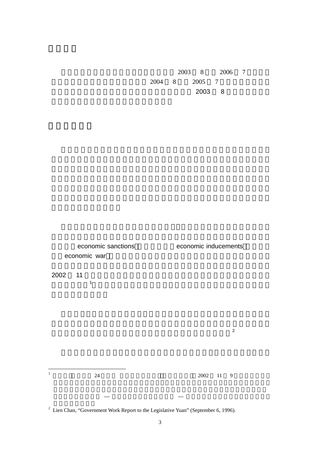本研究案為三年的研究計畫,執行期間為 2003 8 月至 2006 7 月。本年 度為第二年研究計畫,執行期間為 2004 8 月至 2005 7 月。本研究案原本  $2003 \times 2003$ 

economic sanctions was economic inducements economic war  $2002$  11  $1$ 安全的衝擊。<sup>1</sup>  $\frac{1}{2}$  $\overline{1}$  $1 \t24 \t2002 \t11 \t9$ 

<sup>2</sup> Lien Chan, "Government Work Report to the Legislative Yuan" (September 6, 1996).

度。三個主要在野黨 --- 國民黨、親民黨、與台聯黨 --- 在國防部提出說法之後,至今並沒有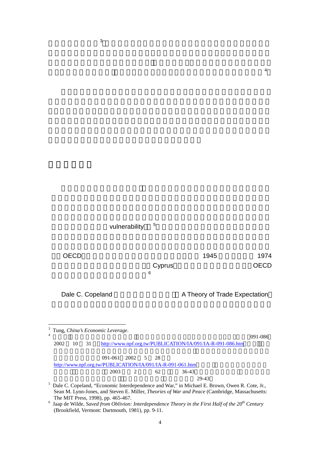vulnerability 5

| OECD                                                                                                       |                 | 1945                                                      | 1974        |
|------------------------------------------------------------------------------------------------------------|-----------------|-----------------------------------------------------------|-------------|
|                                                                                                            | Cyprus          |                                                           | <b>OECD</b> |
|                                                                                                            | 6               |                                                           |             |
| Dale C. Copeland                                                                                           |                 | A Theory of Trade Expectation                             |             |
|                                                                                                            |                 |                                                           |             |
|                                                                                                            |                 |                                                           |             |
| <sup>3</sup> Tung, China's Economic Leverage.                                                              |                 |                                                           | 091-086     |
| 2002<br>10<br>31                                                                                           |                 | http://www.npf.org.tw/PUBLICATION/IA/091/IA-R-091-086.htm |             |
| 091-061                                                                                                    | 2002<br>5<br>28 |                                                           |             |
| http://www.npf.org.tw/PUBLICATION/IA/091/IA-R-091-061.htm                                                  |                 |                                                           |             |
| 2003                                                                                                       | 2<br>62         | 36-43                                                     |             |
|                                                                                                            |                 | 29-43                                                     |             |
| <sup>5</sup> Dale C. Copeland, "Economic Interdependence and War," in Michael E. Brown, Owen R. Cote, Jr., |                 |                                                           |             |

 $3$ 

Sean M. Lynn-Jones, and Steven E. Miller, *Theories of War and Peace* (Cambridge, Massachusetts: The MIT Press, 1998), pp. 465-467.<br><sup>6</sup> Jaap de Wilde, *Saved from Oblivion: Interdependence Theory in the First Half of the 20<sup>th</sup> Century* 

(Brookfield, Vermont: Dartmouth, 1981), pp. 9-11.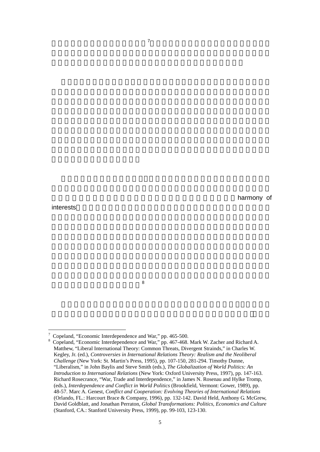harmony of

interests) and  $\mathbb{R}$  is a generated with a generating  $\mathbb{R}$  and  $\mathbb{R}$  and  $\mathbb{R}$  are generated with  $\mathbb{R}$  and  $\mathbb{R}$  are generated with  $\mathbb{R}$  and  $\mathbb{R}$  are generated with  $\mathbb{R}$  and  $\mathbb{R}$  are gen

 $\overline{a}$ 

 $\overline{\phantom{a}}$ 

<sup>7</sup> Copeland, "Economic Interdependence and War," pp. 465-500.

<sup>8</sup> Copeland, "Economic Interdependence and War," pp. 467-468. Mark W. Zacher and Richard A. Matthew, "Liberal International Theory: Common Threats, Divergent Strainds," in Charles W. Kegley, Jr. (ed.), *Controversies in International Relations Theory: Realism and the Neoliberal Challenge* (New York: St. Martin's Press, 1995), pp. 107-150, 281-294. Timothy Dunne, "Liberalism," in John Baylis and Steve Smith (eds.), *The Globalization of World Politics: An Introduction to International Relations* (New York: Oxford University Press, 1997), pp. 147-163. Richard Rosecrance, "War, Trade and Interdependence," in James N. Rosenau and Hylke Tromp, (eds.), *Interdependence and Conflict in World Politics* (Brookfield, Vermont: Gower, 1989), pp. 48-57. Marc A. Genest, *Conflict and Cooperation: Evolving Theories of International Relations* (Orlando, FL.: Harcourt Brace & Company, 1996), pp. 132-142. David Held, Anthony G. McGrew, David Goldblatt, and Jonathan Perraton, *Global Transformations: Politics, Economics and Culture* (Stanford, CA.: Stanford University Press, 1999), pp. 99-103, 123-130.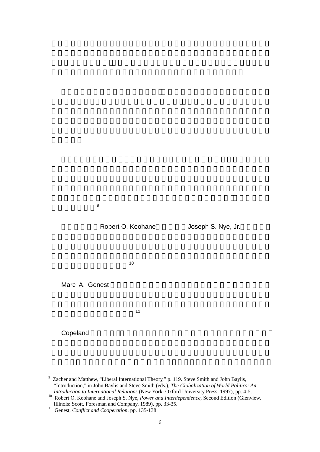

Robert O. Keohane Joseph S. Nye, Jr.

 $\mathbf{d}$ 

Marc A. Genest

 $\sim$  11

Copeland

<sup>-&</sup>lt;br>9 Zacher and Matthew, "Liberal International Theory," p. 119. Steve Smith and John Baylis, "Introduction," in John Baylis and Steve Smith (eds.), *The Globalization of World Politics: An Introduction to International Relations* (New York: Oxford University Press, 1997), pp. 4-5.<br><sup>10</sup> Robert O. Keohane and Joseph S. Nye, *Power and Interdependence*, Second Edition (Glenview,

Illinois: Scott, Foresman and Company, 1989), pp. 33-35. 11 Genest, *Conflict and Cooperation*, pp. 135-138.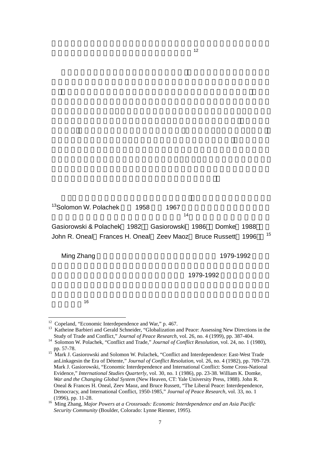$13$ Solomon W. Polachek  $1958$  1967

 $14$ 

| Gasiorowski & Polachek 1982 Gasiorowski 1986 Domke 1988     |  |  |  |    |
|-------------------------------------------------------------|--|--|--|----|
| John R. Oneal Frances H. Oneal Zeev Maoz Bruce Russett 1996 |  |  |  | 15 |

Ming Zhang  $\blacksquare$ 

1979-1992

 $\overline{16}$ 

 $\overline{a}$ 

<sup>&</sup>lt;sup>12</sup> Copeland, "Economic Interdependence and War," p. 467.

<sup>&</sup>lt;sup>13</sup> Katheine Barbieri and Gerald Schneider, "Globalization and Peace: Assessing New Directions in the

Study of Trade and Conflict," *Journal of Peace Research*, vol. 26, no. 4 (1999), pp. 387-404. 14 Solomon W. Polachek, "Conflict and Trade," *Journal of Conflict Resolution*, vol. 24, no. 1 (1980),

<sup>&</sup>lt;sup>15</sup> Mark J. Gasiorowski and Solomon W. Polachek, "Conflict and Interdependence: East-West Trade anLinkagesin the Era of Détente," *Journal of Conflict Resolution*, vol. 26, no. 4 (1982), pp. 709-729. Mark J. Gasiorowski, "Economic Interdependence and International Conflict: Some Cross-National Evidence," *International Studies Quarterly*, vol. 30, no. 1 (1986), pp. 23-38. William K. Domke, *War and the Changing Global System* (New Heaven, CT: Yale University Press, 1988). John R. Oneal & Frances H. Oneal, Zeev Maoz, and Bruce Russett, "The Liberal Peace: Interdependence, Democracy, and International Conflict, 1950-1985," *Journal of Peace Research*, vol. 33, no. 1 (1996), pp. 11-28. 16 Ming Zhang, *Major Powers at a Crossroads: Economic Interdependence and an Asia Pacific* 

*Security Community* (Boulder, Colorado: Lynne Rienner, 1995).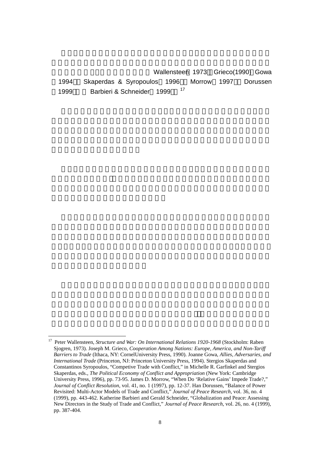Wallensteen 1973 Grieco(1990) Gowa 1994 Skaperdas & Syropoulos 1996 Morrow 1997 Dorussen 1999 Barbieri & Schneider 1999 17

 $\overline{a}$ <sup>17</sup> Peter Wallensteen, *Structure and War: On International Relations 1920-1968* (Stockholm: Raben Sjogren, 1973). Joseph M. Grieco, *Cooperation Among Nations: Europe, America, and Non-Tariff Barriers to Trade* (Ithaca, NY: CornelUniversity Press, 1990). Joanne Gowa, *Allies, Adversaries, and International Trade* (Princeton, NJ: Princeton University Press, 1994). Stergios Skaperdas and Constantinos Syropoulos, "Competive Trade with Conflict," in Michelle R. Garfinkel and Stergios Skaperdas, eds., *The Political Economy of Conflict and Appropriation* (New York: Cambridge University Press, 1996), pp. 73-95. James D. Morrow, "When Do 'Relative Gains' Impede Trade?," *Journal of Conflict Resolution*, vol. 41, no. 1 (1997), pp. 12-37. Han Dorussen, "Balance of Power Revisited: Multi-Actor Models of Trade and Conflict," *Journal of Peace Research*, vol. 36, no. 4 (1999), pp. 443-462. Katherine Barbieri and Gerald Schneider, "Globalization and Peace: Assessing New Directors in the Study of Trade and Conflict," *Journal of Peace Research*, vol. 26, no. 4 (1999), pp. 387-404.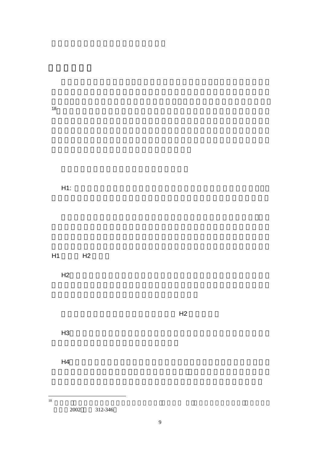$18$ 

#### $H1:$

## H1 H2

 $H2 \rightarrow$ 

### $H2 \rightarrow 2\frac{1}{2}$

 $H3 \sim$  $H4 \sim$ 

#### 18  $18$

312-346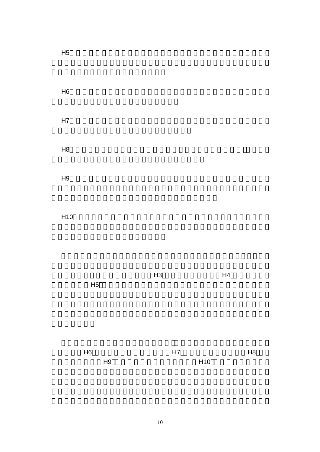$H5$  $H6$  $H7 \sim$  $H8$  $H9 \sim 10$  $H10 \sim$ 

 $H3$  ,  $H4$  $H5$ 經濟發展(H6 、經濟發展減少戰爭動機(H7 、經濟交流促進統一(H8 、經  $H9 \hspace{1.5cm} H10 \hspace{1.5cm}$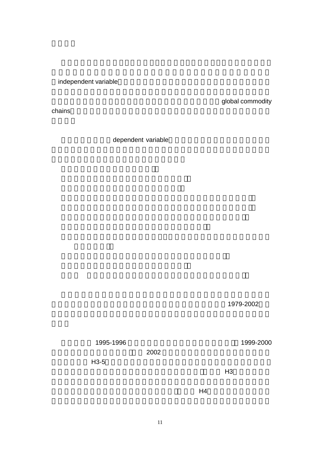independent variable

global commodity

 $\alpha$ hains) and  $\alpha$  and  $\alpha$  are a set  $\alpha$  and  $\alpha$  and  $\alpha$  are a set  $\alpha$  and  $\alpha$ 

dependent variable

1979-2002

本研究將以 1995-1996 年(李登輝總統訪美與台灣總統大選) 1999-2000

 $2002$ 

 $H3-5$ 

the contract of the contract of the contract of the contract of the contract of the contract of the contract of the contract of the contract of the contract of the contract of the contract of the contract of the contract

 $H4$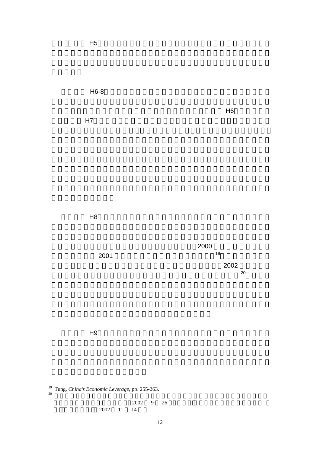

 $H6-8$ ,  $H6-8$ ,  $H6-8$ ,  $H6-8$ ,  $H6-8$ ,  $H6-8$ ,  $H6-8$ ,  $H6-8$ ,  $H6-8$ ,  $H6-8$ ,  $H6-8$ ,  $H6-8$ ,  $H6-8$ ,  $H6-8$ ,  $H6-8$ ,  $H6-8$ ,  $H6-8$ ,  $H6-8$ ,  $H6-8$ ,  $H6-8$ ,  $H6-8$ ,  $H6-8$ ,  $H6-8$ ,  $H6-8$ ,  $H6-8$ ,  $H6-8$ ,  $H6-8$ ,  $H6-8$ 

 $H6$  $H7$ 

 $H8$ 

 $2000$  $2001$  and  $\frac{19}{\pi}$  $2002$  $\overline{a}$ 

 $H9, \ldots, H9$ 

 $\overline{a}$ 

<sup>19</sup> Tung, *China's Economic Leverage*, pp. 255-263. <sub>20</sub>

 $2002$  9 26<br>14

 $2002 \t 11$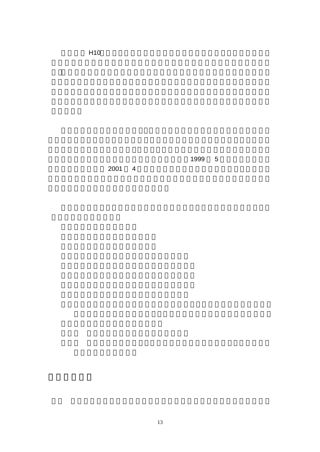$H10$ 

1999 5

2001 4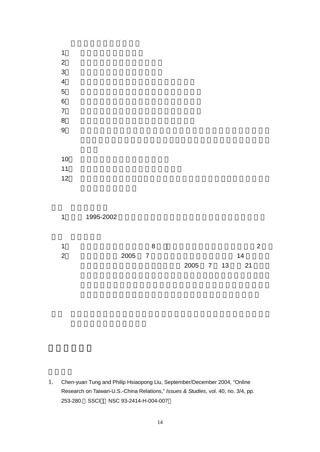1. Chen-yuan Tung and Philip Hsiaopong Liu, September/December 2004, "Online Research on Taiwan-U.S.-China Relations," *Issues & Studies*, vol. 40, no. 3/4, pp. 253-280. SSCI NSC 93-2414-H-004-007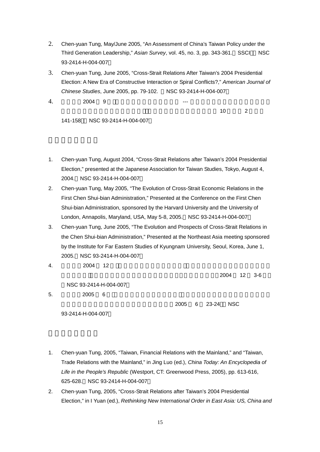- 2. Chen-yuan Tung, May/June 2005, "An Assessment of China's Taiwan Policy under the Third Generation Leadership," *Asian Survey*, vol. 45, no. 3, pp. 343-361. SSCI NSC 93-2414-H-004-007
- 3. Chen-yuan Tung, June 2005, "Cross-Strait Relations After Taiwan's 2004 Presidential Election: A New Era of Constructive Interaction or Spiral Conflicts?," *American Journal of Chinese Studies*, June 2005, pp. 79-102. NSC 93-2414-H-004-007

| 4. | 2004<br>- 9 |                               | --- |    |  |
|----|-------------|-------------------------------|-----|----|--|
|    |             |                               |     | 10 |  |
|    |             | 141-158 NSC 93-2414-H-004-007 |     |    |  |

- 1. Chen-yuan Tung, August 2004, "Cross-Strait Relations after Taiwan's 2004 Presidential Election," presented at the Japanese Association for Taiwan Studies, Tokyo, August 4, 2004. NSC 93-2414-H-004-007
- 2. Chen-yuan Tung, May 2005, "The Evolution of Cross-Strait Economic Relations in the First Chen Shui-bian Administration," Presented at the Conference on the First Chen Shui-bian Administration, sponsored by the Harvard University and the University of London, Annapolis, Maryland, USA, May 5-8, 2005. NSC 93-2414-H-004-007
- 3. Chen-yuan Tung, June 2005, "The Evolution and Prospects of Cross-Strait Relations in the Chen Shui-bian Administration," Presented at the Northeast Asia meeting sponsored by the Institute for Far Eastern Studies of Kyungnam University, Seoul, Korea, June 1, 2005. NSC 93-2414-H-004-007
- $4. \t2004 \t12$

 $2004$  12 3-6

NSC 93-2414-H-004-007

5.  $2005 \quad 6$ 

2005 6 23-24 NSC

93-2414-H-004-007

- 1. Chen-yuan Tung, 2005, "Taiwan, Financial Relations with the Mainland," and "Taiwan, Trade Relations with the Mainland," in Jing Luo (ed.), *China Today: An Encyclopedia of Life in the People's Republic* (Westport, CT: Greenwood Press, 2005), pp. 613-616, 625-628. NSC 93-2414-H-004-007
- 2. Chen-yuan Tung, 2005, "Cross-Strait Relations after Taiwan's 2004 Presidential Election," in I Yuan (ed.), *Rethinking New International Order in East Asia: US, China and*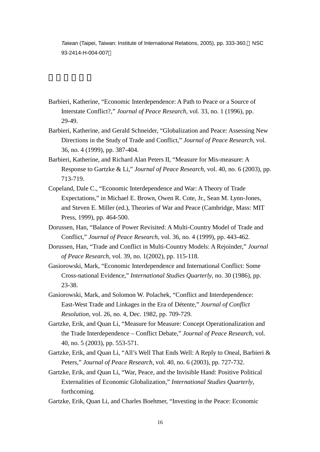*Taiwan* (Taipei, Taiwan: Institute of International Relations, 2005), pp. 333-360. NSC 93-2414-H-004-007

- Barbieri, Katherine, "Economic Interdependence: A Path to Peace or a Source of Interstate Conflict?," *Journal of Peace Research*, vol. 33, no. 1 (1996), pp. 29-49.
- Barbieri, Katherine, and Gerald Schneider, "Globalization and Peace: Assessing New Directions in the Study of Trade and Conflict," *Journal of Peace Research*, vol. 36, no. 4 (1999), pp. 387-404.
- Barbieri, Katherine, and Richard Alan Peters II, "Measure for Mis-measure: A Response to Gartzke & Li," *Journal of Peace Research*, vol. 40, no. 6 (2003), pp. 713-719.
- Copeland, Dale C., "Economic Interdependence and War: A Theory of Trade Expectations," in Michael E. Brown, Owen R. Cote, Jr., Sean M. Lynn-Jones, and Steven E. Miller (ed.), Theories of War and Peace (Cambridge, Mass: MIT Press, 1999), pp. 464-500.
- Dorussen, Han, "Balance of Power Revisited: A Multi-Country Model of Trade and Conflict," *Journal of Peace Research*, vol. 36, no. 4 (1999), pp. 443-462.
- Dorussen, Han, "Trade and Conflict in Multi-Country Models: A Rejoinder," *Journal of Peace Research*, vol. 39, no. 1(2002), pp. 115-118.
- Gasiorowski, Mark, "Economic Interdependence and International Conflict: Some Cross-national Evidence," *International Studies Quarterly*, no. 30 (1986), pp. 23-38.
- Gasiorowski, Mark, and Solomon W. Polachek, "Conflict and Interdependence: East-West Trade and Linkages in the Era of Détente," *Journal of Conflict Resolution*, vol. 26, no. 4, Dec. 1982, pp. 709-729.
- Gartzke, Erik, and Quan Li, "Measure for Measure: Concept Operationalization and the Trade Interdependence – Conflict Debate," *Journal of Peace Research*, vol. 40, no. 5 (2003), pp. 553-571.
- Gartzke, Erik, and Quan Li, "All's Well That Ends Well: A Reply to Oneal, Barbieri & Peters," *Journal of Peace Research*, vol. 40, no. 6 (2003), pp. 727-732.
- Gartzke, Erik, and Quan Li, "War, Peace, and the Invisible Hand: Positive Political Externalities of Economic Globalization," *International Studies Quarterly*, forthcoming.
- Gartzke, Erik, Quan Li, and Charles Boehmer, "Investing in the Peace: Economic